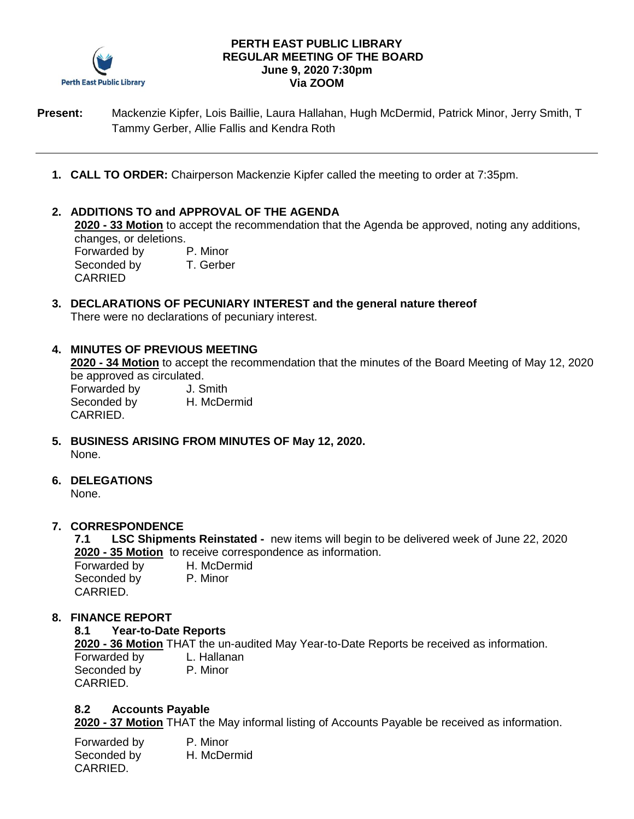

#### **PERTH EAST PUBLIC LIBRARY REGULAR MEETING OF THE BOARD June 9, 2020 7:30pm Via ZOOM**

**Present:** Mackenzie Kipfer, Lois Baillie, Laura Hallahan, Hugh McDermid, Patrick Minor, Jerry Smith, T Tammy Gerber, Allie Fallis and Kendra Roth

**1. CALL TO ORDER:** Chairperson Mackenzie Kipfer called the meeting to order at 7:35pm.

### **2. ADDITIONS TO and APPROVAL OF THE AGENDA**

**2020 - 33 Motion** to accept the recommendation that the Agenda be approved, noting any additions, changes, or deletions. Forwarded by P. Minor Seconded by T. Gerber CARRIED

## **3. DECLARATIONS OF PECUNIARY INTEREST and the general nature thereof** There were no declarations of pecuniary interest.

#### **4. MINUTES OF PREVIOUS MEETING**

**2020 - 34 Motion** to accept the recommendation that the minutes of the Board Meeting of May 12, 2020 be approved as circulated.

Forwarded by J. Smith Seconded by **H. McDermid** CARRIED.

- **5. BUSINESS ARISING FROM MINUTES OF May 12, 2020.** None.
- **6. DELEGATIONS**

None.

### **7. CORRESPONDENCE**

**7.1 LSC Shipments Reinstated -** new items will begin to be delivered week of June 22, 2020 **2020 - 35 Motion** to receive correspondence as information.

Forwarded by H. McDermid Seconded by P. Minor CARRIED.

### **8. FINANCE REPORT**

### **8.1 Year-to-Date Reports**

**2020 - 36 Motion** THAT the un-audited May Year-to-Date Reports be received as information. Forwarded by L. Hallanan Seconded by P. Minor CARRIED.

#### **8.2 Accounts Payable**

**2020 - 37 Motion** THAT the May informal listing of Accounts Payable be received as information.

Forwarded by P. Minor Seconded by H. McDermid CARRIED.